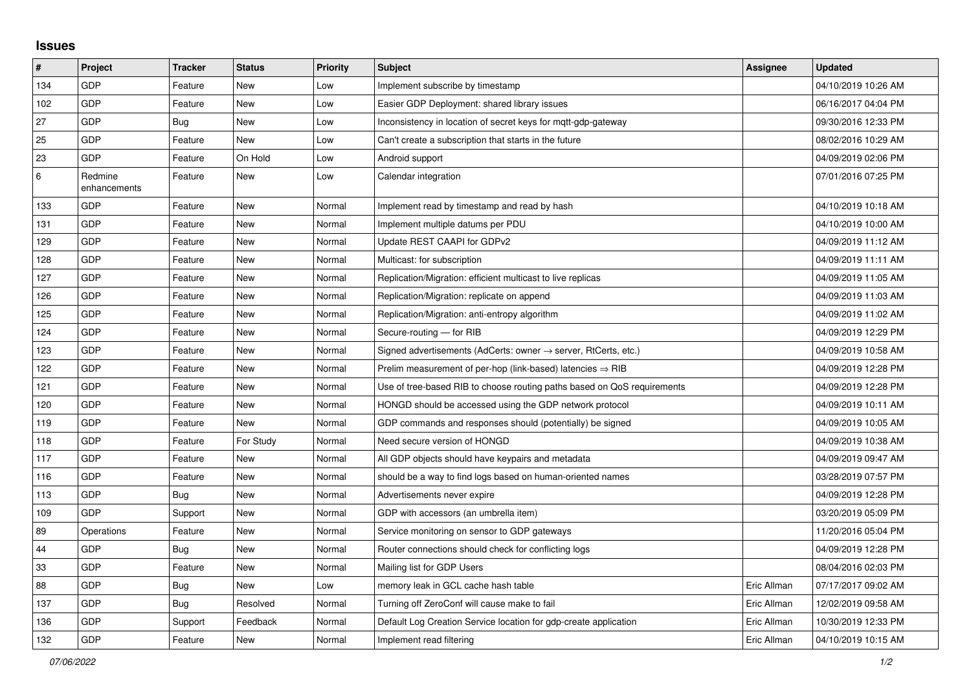## **Issues**

| #     | Project                 | <b>Tracker</b> | <b>Status</b> | Priority | <b>Subject</b>                                                             | Assignee    | <b>Updated</b>      |
|-------|-------------------------|----------------|---------------|----------|----------------------------------------------------------------------------|-------------|---------------------|
| 134   | GDP                     | Feature        | <b>New</b>    | Low      | Implement subscribe by timestamp                                           |             | 04/10/2019 10:26 AM |
| 102   | GDP                     | Feature        | <b>New</b>    | Low      | Easier GDP Deployment: shared library issues                               |             | 06/16/2017 04:04 PM |
| 27    | GDP                     | Bug            | <b>New</b>    | Low      | Inconsistency in location of secret keys for mgtt-gdp-gateway              |             | 09/30/2016 12:33 PM |
| 25    | GDP                     | Feature        | <b>New</b>    | Low      | Can't create a subscription that starts in the future                      |             | 08/02/2016 10:29 AM |
| 23    | GDP                     | Feature        | On Hold       | Low      | Android support                                                            |             | 04/09/2019 02:06 PM |
| $\,6$ | Redmine<br>enhancements | Feature        | New           | Low      | Calendar integration                                                       |             | 07/01/2016 07:25 PM |
| 133   | GDP                     | Feature        | <b>New</b>    | Normal   | Implement read by timestamp and read by hash                               |             | 04/10/2019 10:18 AM |
| 131   | GDP                     | Feature        | <b>New</b>    | Normal   | Implement multiple datums per PDU                                          |             | 04/10/2019 10:00 AM |
| 129   | GDP                     | Feature        | New           | Normal   | Update REST CAAPI for GDPv2                                                |             | 04/09/2019 11:12 AM |
| 128   | GDP                     | Feature        | <b>New</b>    | Normal   | Multicast: for subscription                                                |             | 04/09/2019 11:11 AM |
| 127   | GDP                     | Feature        | <b>New</b>    | Normal   | Replication/Migration: efficient multicast to live replicas                |             | 04/09/2019 11:05 AM |
| 126   | GDP                     | Feature        | <b>New</b>    | Normal   | Replication/Migration: replicate on append                                 |             | 04/09/2019 11:03 AM |
| 125   | GDP                     | Feature        | <b>New</b>    | Normal   | Replication/Migration: anti-entropy algorithm                              |             | 04/09/2019 11:02 AM |
| 124   | GDP                     | Feature        | <b>New</b>    | Normal   | Secure-routing - for RIB                                                   |             | 04/09/2019 12:29 PM |
| 123   | GDP                     | Feature        | <b>New</b>    | Normal   | Signed advertisements (AdCerts: owner $\rightarrow$ server, RtCerts, etc.) |             | 04/09/2019 10:58 AM |
| 122   | GDP                     | Feature        | <b>New</b>    | Normal   | Prelim measurement of per-hop (link-based) latencies $\Rightarrow$ RIB     |             | 04/09/2019 12:28 PM |
| 121   | GDP                     | Feature        | <b>New</b>    | Normal   | Use of tree-based RIB to choose routing paths based on QoS requirements    |             | 04/09/2019 12:28 PM |
| 120   | GDP                     | Feature        | <b>New</b>    | Normal   | HONGD should be accessed using the GDP network protocol                    |             | 04/09/2019 10:11 AM |
| 119   | GDP                     | Feature        | New           | Normal   | GDP commands and responses should (potentially) be signed                  |             | 04/09/2019 10:05 AM |
| 118   | GDP                     | Feature        | For Study     | Normal   | Need secure version of HONGD                                               |             | 04/09/2019 10:38 AM |
| 117   | GDP                     | Feature        | New           | Normal   | All GDP objects should have keypairs and metadata                          |             | 04/09/2019 09:47 AM |
| 116   | GDP                     | Feature        | New           | Normal   | should be a way to find logs based on human-oriented names                 |             | 03/28/2019 07:57 PM |
| 113   | GDP                     | Bug            | <b>New</b>    | Normal   | Advertisements never expire                                                |             | 04/09/2019 12:28 PM |
| 109   | GDP                     | Support        | New           | Normal   | GDP with accessors (an umbrella item)                                      |             | 03/20/2019 05:09 PM |
| 89    | Operations              | Feature        | <b>New</b>    | Normal   | Service monitoring on sensor to GDP gateways                               |             | 11/20/2016 05:04 PM |
| 44    | GDP                     | <b>Bug</b>     | <b>New</b>    | Normal   | Router connections should check for conflicting logs                       |             | 04/09/2019 12:28 PM |
| 33    | GDP                     | Feature        | New           | Normal   | Mailing list for GDP Users                                                 |             | 08/04/2016 02:03 PM |
| 88    | GDP                     | <b>Bug</b>     | New           | Low      | memory leak in GCL cache hash table                                        | Eric Allman | 07/17/2017 09:02 AM |
| 137   | GDP                     | <b>Bug</b>     | Resolved      | Normal   | Turning off ZeroConf will cause make to fail                               | Eric Allman | 12/02/2019 09:58 AM |
| 136   | GDP                     | Support        | Feedback      | Normal   | Default Log Creation Service location for gdp-create application           | Eric Allman | 10/30/2019 12:33 PM |
| 132   | GDP                     | Feature        | <b>New</b>    | Normal   | Implement read filtering                                                   | Eric Allman | 04/10/2019 10:15 AM |